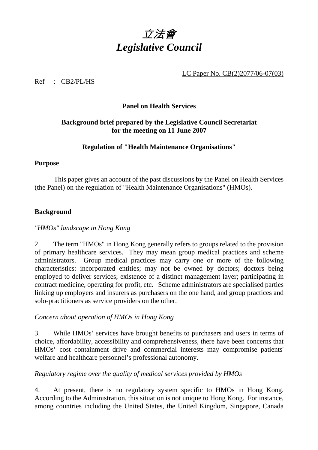

LC Paper No. CB(2)2077/06-07(03)

Ref : CB2/PL/HS

### **Panel on Health Services**

# **Background brief prepared by the Legislative Council Secretariat for the meeting on 11 June 2007**

# **Regulation of "Health Maintenance Organisations"**

#### **Purpose**

 This paper gives an account of the past discussions by the Panel on Health Services (the Panel) on the regulation of "Health Maintenance Organisations" (HMOs).

### **Background**

### *"HMOs" landscape in Hong Kong*

2. The term "HMOs" in Hong Kong generally refers to groups related to the provision of primary healthcare services. They may mean group medical practices and scheme administrators. Group medical practices may carry one or more of the following characteristics: incorporated entities; may not be owned by doctors; doctors being employed to deliver services; existence of a distinct management layer; participating in contract medicine, operating for profit, etc. Scheme administrators are specialised parties linking up employers and insurers as purchasers on the one hand, and group practices and solo-practitioners as service providers on the other.

### *Concern about operation of HMOs in Hong Kong*

3. While HMOs' services have brought benefits to purchasers and users in terms of choice, affordability, accessibility and comprehensiveness, there have been concerns that HMOs' cost containment drive and commercial interests may compromise patients' welfare and healthcare personnel's professional autonomy.

# *Regulatory regime over the quality of medical services provided by HMOs*

4. At present, there is no regulatory system specific to HMOs in Hong Kong. According to the Administration, this situation is not unique to Hong Kong. For instance, among countries including the United States, the United Kingdom, Singapore, Canada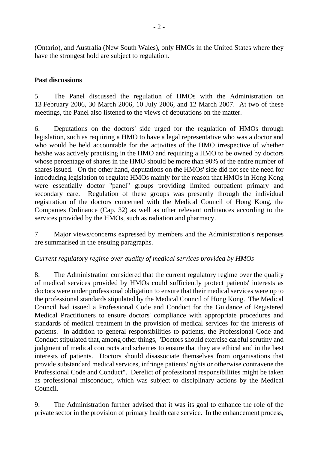(Ontario), and Australia (New South Wales), only HMOs in the United States where they have the strongest hold are subject to regulation.

### **Past discussions**

5. The Panel discussed the regulation of HMOs with the Administration on 13 February 2006, 30 March 2006, 10 July 2006, and 12 March 2007. At two of these meetings, the Panel also listened to the views of deputations on the matter.

6. Deputations on the doctors' side urged for the regulation of HMOs through legislation, such as requiring a HMO to have a legal representative who was a doctor and who would be held accountable for the activities of the HMO irrespective of whether he/she was actively practising in the HMO and requiring a HMO to be owned by doctors whose percentage of shares in the HMO should be more than 90% of the entire number of shares issued. On the other hand, deputations on the HMOs' side did not see the need for introducing legislation to regulate HMOs mainly for the reason that HMOs in Hong Kong were essentially doctor "panel" groups providing limited outpatient primary and secondary care. Regulation of these groups was presently through the individual registration of the doctors concerned with the Medical Council of Hong Kong, the Companies Ordinance (Cap. 32) as well as other relevant ordinances according to the services provided by the HMOs, such as radiation and pharmacy.

7. Major views/concerns expressed by members and the Administration's responses are summarised in the ensuing paragraphs.

### *Current regulatory regime over quality of medical services provided by HMOs*

8. The Administration considered that the current regulatory regime over the quality of medical services provided by HMOs could sufficiently protect patients' interests as doctors were under professional obligation to ensure that their medical services were up to the professional standards stipulated by the Medical Council of Hong Kong. The Medical Council had issued a Professional Code and Conduct for the Guidance of Registered Medical Practitioners to ensure doctors' compliance with appropriate procedures and standards of medical treatment in the provision of medical services for the interests of patients. In addition to general responsibilities to patients, the Professional Code and Conduct stipulated that, among other things, "Doctors should exercise careful scrutiny and judgment of medical contracts and schemes to ensure that they are ethical and in the best interests of patients. Doctors should disassociate themselves from organisations that provide substandard medical services, infringe patients' rights or otherwise contravene the Professional Code and Conduct". Derelict of professional responsibilities might be taken as professional misconduct, which was subject to disciplinary actions by the Medical Council.

9. The Administration further advised that it was its goal to enhance the role of the private sector in the provision of primary health care service. In the enhancement process,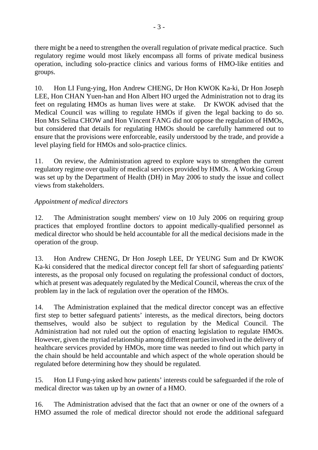there might be a need to strengthen the overall regulation of private medical practice. Such regulatory regime would most likely encompass all forms of private medical business operation, including solo-practice clinics and various forms of HMO-like entities and groups.

10. Hon LI Fung-ying, Hon Andrew CHENG, Dr Hon KWOK Ka-ki, Dr Hon Joseph LEE, Hon CHAN Yuen-han and Hon Albert HO urged the Administration not to drag its feet on regulating HMOs as human lives were at stake. Dr KWOK advised that the Medical Council was willing to regulate HMOs if given the legal backing to do so. Hon Mrs Selina CHOW and Hon Vincent FANG did not oppose the regulation of HMOs, but considered that details for regulating HMOs should be carefully hammered out to ensure that the provisions were enforceable, easily understood by the trade, and provide a level playing field for HMOs and solo-practice clinics.

11. On review, the Administration agreed to explore ways to strengthen the current regulatory regime over quality of medical services provided by HMOs. A Working Group was set up by the Department of Health (DH) in May 2006 to study the issue and collect views from stakeholders.

# *Appointment of medical directors*

12. The Administration sought members' view on 10 July 2006 on requiring group practices that employed frontline doctors to appoint medically-qualified personnel as medical director who should be held accountable for all the medical decisions made in the operation of the group.

13. Hon Andrew CHENG, Dr Hon Joseph LEE, Dr YEUNG Sum and Dr KWOK Ka-ki considered that the medical director concept fell far short of safeguarding patients' interests, as the proposal only focused on regulating the professional conduct of doctors, which at present was adequately regulated by the Medical Council, whereas the crux of the problem lay in the lack of regulation over the operation of the HMOs.

14. The Administration explained that the medical director concept was an effective first step to better safeguard patients' interests, as the medical directors, being doctors themselves, would also be subject to regulation by the Medical Council. The Administration had not ruled out the option of enacting legislation to regulate HMOs. However, given the myriad relationship among different parties involved in the delivery of healthcare services provided by HMOs, more time was needed to find out which party in the chain should be held accountable and which aspect of the whole operation should be regulated before determining how they should be regulated.

15. Hon LI Fung-ying asked how patients' interests could be safeguarded if the role of medical director was taken up by an owner of a HMO.

16. The Administration advised that the fact that an owner or one of the owners of a HMO assumed the role of medical director should not erode the additional safeguard